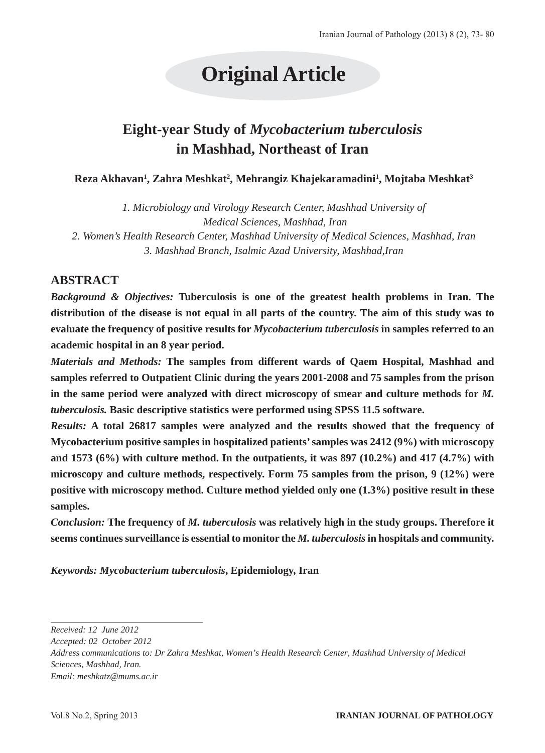# **Original Article**

# **Eight-year Study of** *Mycobacterium tuberculosis*  **in Mashhad, Northeast of Iran**

#### $\boldsymbol{\mathsf{Reza\text{-}A}$ khavan<sup>1</sup>, Zahra Meshkat<sup>2</sup>, Mehrangiz Khajekaramadini<sup>1</sup>, Mojtaba Meshkat<sup>3</sup>

*1. Microbiology and Virology Research Center, Mashhad University of Medical Sciences, Mashhad, Iran 2. Women's Health Research Center, Mashhad University of Medical Sciences, Mashhad, Iran 3. Mashhad Branch, Isalmic Azad University, Mashhad,Iran*

## **ABSTRACT**

*Background & Objectives:* **Tuberculosis is one of the greatest health problems in Iran. The distribution of the disease is not equal in all parts of the country. The aim of this study was to evaluate the frequency of positive results for** *Mycobacterium tuberculosis* **in samples referred to an academic hospital in an 8 year period.**

*Materials and Methods:* **The samples from different wards of Qaem Hospital, Mashhad and samples referred to Outpatient Clinic during the years 2001-2008 and 75 samples from the prison**  in the same period were analyzed with direct microscopy of smear and culture methods for *M*. *tuberculosis.* **Basic descriptive statistics were performed using SPSS 11.5 software.**

*Results:* **A total 26817 samples were analyzed and the results showed that the frequency of Mycobacterium positive samples in hospitalized patients' samples was 2412 (9%) with microscopy and 1573 (6%) with culture method. In the outpatients, it was 897 (10.2%) and 417 (4.7%) with microscopy and culture methods, respectively. Form 75 samples from the prison, 9 (12%) were positive with microscopy method. Culture method yielded only one (1.3%) positive result in these samples.**

*Conclusion:* **The frequency of** *M. tuberculosis* **was relatively high in the study groups. Therefore it seems continues surveillance is essential to monitor the** *M. tuberculosis* **in hospitals and community.** 

*Keywords: Mycobacterium tuberculosis***, Epidemiology, Iran**

*Received: 12 June 2012*

*Accepted: 02 October 2012*

*Address communications to: Dr Zahra Meshkat, Women's Health Research Center, Mashhad University of Medical Sciences, Mashhad, Iran. Email: meshkatz@mums.ac.ir*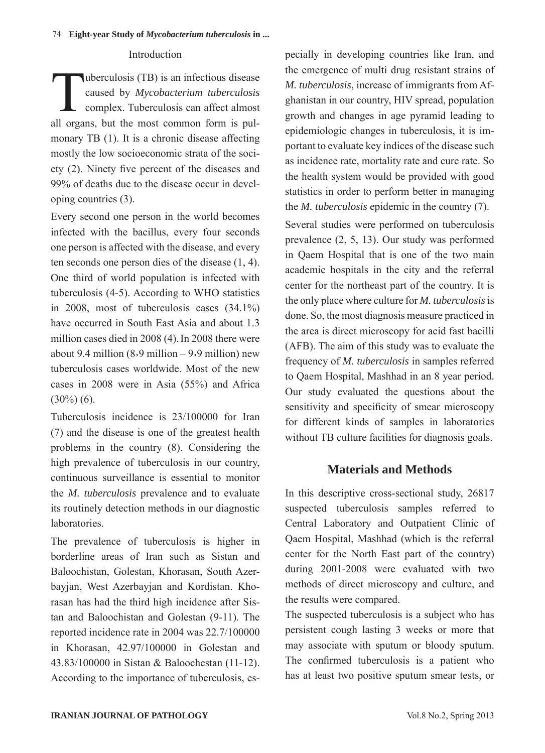#### Introduction

Tuberculosis (TB) is an infectious disease<br>caused by *Mycobacterium tuberculosis*<br>complex. Tuberculosis can affect almost caused by *Mycobacterium tuberculosis* complex. Tuberculosis can affect almost all organs, but the most common form is pulmonary TB (1). It is a chronic disease affecting mostly the low socioeconomic strata of the society (2). Ninety five percent of the diseases and 99% of deaths due to the disease occur in developing countries (3).

Every second one person in the world becomes infected with the bacillus, every four seconds one person is affected with the disease, and every ten seconds one person dies of the disease (1, 4). One third of world population is infected with tuberculosis (4-5). According to WHO statistics in 2008, most of tuberculosis cases (34.1%) have occurred in South East Asia and about 1.3 million cases died in 2008 (4). In 2008 there were about 9.4 million  $(8.9 \text{ million} - 9.9 \text{ million})$  new tuberculosis cases worldwide. Most of the new cases in 2008 were in Asia (55%) and Africa  $(30\%) (6)$ .

Tuberculosis incidence is 23/100000 for Iran (7) and the disease is one of the greatest health problems in the country (8). Considering the high prevalence of tuberculosis in our country, continuous surveillance is essential to monitor the *M. tuberculosis* prevalence and to evaluate its routinely detection methods in our diagnostic laboratories.

The prevalence of tuberculosis is higher in borderline areas of Iran such as Sistan and Baloochistan, Golestan, Khorasan, South Azerbayjan, West Azerbayjan and Kordistan. Khorasan has had the third high incidence after Sistan and Baloochistan and Golestan (9-11). The reported incidence rate in 2004 was 22.7/100000 in Khorasan, 42.97/100000 in Golestan and 43.83/100000 in Sistan & Baloochestan (11-12). According to the importance of tuberculosis, especially in developing countries like Iran, and the emergence of multi drug resistant strains of *M. tuberculosis*, increase of immigrants from Afghanistan in our country, HIV spread, population growth and changes in age pyramid leading to epidemiologic changes in tuberculosis, it is important to evaluate key indices of the disease such as incidence rate, mortality rate and cure rate. So the health system would be provided with good statistics in order to perform better in managing the *M. tuberculosis* epidemic in the country (7).

Several studies were performed on tuberculosis prevalence (2, 5, 13). Our study was performed in Qaem Hospital that is one of the two main academic hospitals in the city and the referral center for the northeast part of the country. It is the only place where culture for *M. tuberculosis* is done. So, the most diagnosis measure practiced in the area is direct microscopy for acid fast bacilli (AFB). The aim of this study was to evaluate the frequency of *M. tuberculosis* in samples referred to Qaem Hospital, Mashhad in an 8 year period. Our study evaluated the questions about the sensitivity and specificity of smear microscopy for different kinds of samples in laboratories without TB culture facilities for diagnosis goals.

## **Materials and Methods**

In this descriptive cross-sectional study, 26817 suspected tuberculosis samples referred to Central Laboratory and Outpatient Clinic of Qaem Hospital, Mashhad (which is the referral center for the North East part of the country) during 2001-2008 were evaluated with two methods of direct microscopy and culture, and the results were compared.

The suspected tuberculosis is a subject who has persistent cough lasting 3 weeks or more that may associate with sputum or bloody sputum. The confirmed tuberculosis is a patient who has at least two positive sputum smear tests, or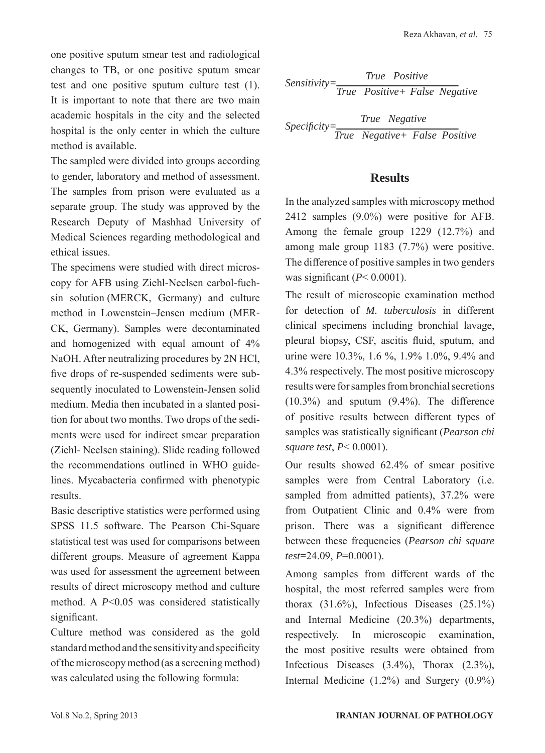one positive sputum smear test and radiological changes to TB, or one positive sputum smear test and one positive sputum culture test (1). It is important to note that there are two main academic hospitals in the city and the selected hospital is the only center in which the culture method is available.

The sampled were divided into groups according to gender, laboratory and method of assessment. The samples from prison were evaluated as a separate group. The study was approved by the Research Deputy of Mashhad University of Medical Sciences regarding methodological and ethical issues.

The specimens were studied with direct microscopy for AFB using Ziehl-Neelsen carbol-fuchsin solution (MERCK, Germany) and culture method in Lowenstein–Jensen medium (MER-CK, Germany). Samples were decontaminated and homogenized with equal amount of 4% NaOH. After neutralizing procedures by 2N HCl, five drops of re-suspended sediments were subsequently inoculated to Lowenstein-Jensen solid medium. Media then incubated in a slanted position for about two months. Two drops of the sediments were used for indirect smear preparation (Ziehl- Neelsen staining). Slide reading followed the recommendations outlined in WHO guidelines. Mycabacteria confirmed with phenotypic results.

Basic descriptive statistics were performed using SPSS 11.5 software. The Pearson Chi-Square statistical test was used for comparisons between different groups. Measure of agreement Kappa was used for assessment the agreement between results of direct microscopy method and culture method. A *P*<0.05 was considered statistically significant.

Culture method was considered as the gold standard method and the sensitivity and specificity of the microscopy method (as a screening method) was calculated using the following formula:

Sensitivity=
$$
\frac{True \ Positive}{True \ Positive + False \ Negative}
$$

 $Specificity = \frac{1}{\sqrt{2}}$ *True Negative True Negative+ False Positive*

#### **Results**

In the analyzed samples with microscopy method 2412 samples (9.0%) were positive for AFB. Among the female group 1229 (12.7%) and among male group 1183 (7.7%) were positive. The difference of positive samples in two genders was significant (*P*< 0.0001).

The result of microscopic examination method for detection of *M. tuberculosis* in different clinical specimens including bronchial lavage, pleural biopsy, CSF, ascitis fluid, sputum, and urine were 10.3%, 1.6 %, 1.9% 1.0%, 9.4% and 4.3% respectively. The most positive microscopy results were for samples from bronchial secretions (10.3%) and sputum (9.4%). The difference of positive results between different types of samples was statistically significant (*Pearson chi square test*, *P*< 0.0001).

Our results showed 62.4% of smear positive samples were from Central Laboratory (i.e. sampled from admitted patients), 37.2% were from Outpatient Clinic and 0.4% were from prison. There was a significant difference between these frequencies (*Pearson chi square test***=**24.09, *P*=0.0001).

Among samples from different wards of the hospital, the most referred samples were from thorax  $(31.6\%)$ , Infectious Diseases  $(25.1\%)$ and Internal Medicine (20.3%) departments, respectively. In microscopic examination, the most positive results were obtained from Infectious Diseases (3.4%), Thorax (2.3%), Internal Medicine (1.2%) and Surgery (0.9%)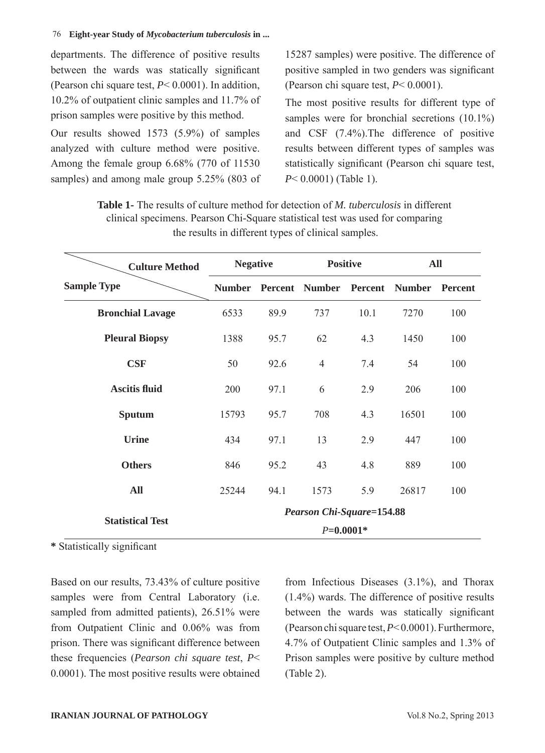departments. The difference of positive results between the wards was statically significant (Pearson chi square test, *P*< 0.0001). In addition, 10.2% of outpatient clinic samples and 11.7% of prison samples were positive by this method.

Our results showed 1573 (5.9%) of samples analyzed with culture method were positive. Among the female group 6.68% (770 of 11530 samples) and among male group 5.25% (803 of 15287 samples) were positive. The difference of positive sampled in two genders was significant (Pearson chi square test, *P*< 0.0001).

The most positive results for different type of samples were for bronchial secretions (10.1%) and CSF (7.4%).The difference of positive results between different types of samples was statistically significant (Pearson chi square test, *P*< 0.0001) (Table 1).

| <b>Culture Method</b>   | <b>Negative</b>                  |         | <b>Positive</b> |         | <b>All</b>    |                |  |  |  |
|-------------------------|----------------------------------|---------|-----------------|---------|---------------|----------------|--|--|--|
| <b>Sample Type</b>      | <b>Number</b>                    | Percent | <b>Number</b>   | Percent | <b>Number</b> | <b>Percent</b> |  |  |  |
| <b>Bronchial Lavage</b> | 6533                             | 89.9    | 737             | 10.1    | 7270          | 100            |  |  |  |
| <b>Pleural Biopsy</b>   | 1388                             | 95.7    | 62              | 4.3     | 1450          | 100            |  |  |  |
| CSF                     | 50                               | 92.6    | $\overline{4}$  | 7.4     | 54            | 100            |  |  |  |
| <b>Ascitis fluid</b>    | 200                              | 97.1    | 6               | 2.9     | 206           | 100            |  |  |  |
| Sputum                  | 15793                            | 95.7    | 708             | 4.3     | 16501         | 100            |  |  |  |
| <b>Urine</b>            | 434                              | 97.1    | 13              | 2.9     | 447           | 100            |  |  |  |
| <b>Others</b>           | 846                              | 95.2    | 43              | 4.8     | 889           | 100            |  |  |  |
| All                     | 25244                            | 94.1    | 1573            | 5.9     | 26817         | 100            |  |  |  |
|                         | <b>Pearson Chi-Square=154.88</b> |         |                 |         |               |                |  |  |  |
| <b>Statistical Test</b> | $P=0.0001*$                      |         |                 |         |               |                |  |  |  |

**Table 1-** The results of culture method for detection of *M. tuberculosis* in different clinical specimens. Pearson Chi-Square statistical test was used for comparing the results in different types of clinical samples.

**\*** Statistically significant

Based on our results, 73.43% of culture positive samples were from Central Laboratory (i.e. sampled from admitted patients), 26.51% were from Outpatient Clinic and 0.06% was from prison. There was significant difference between these frequencies (*Pearson chi square test*, *P*< 0.0001). The most positive results were obtained from Infectious Diseases (3.1%), and Thorax (1.4%) wards. The difference of positive results between the wards was statically significant (Pearson chi square test, *P*< 0.0001). Furthermore, 4.7% of Outpatient Clinic samples and 1.3% of Prison samples were positive by culture method (Table 2).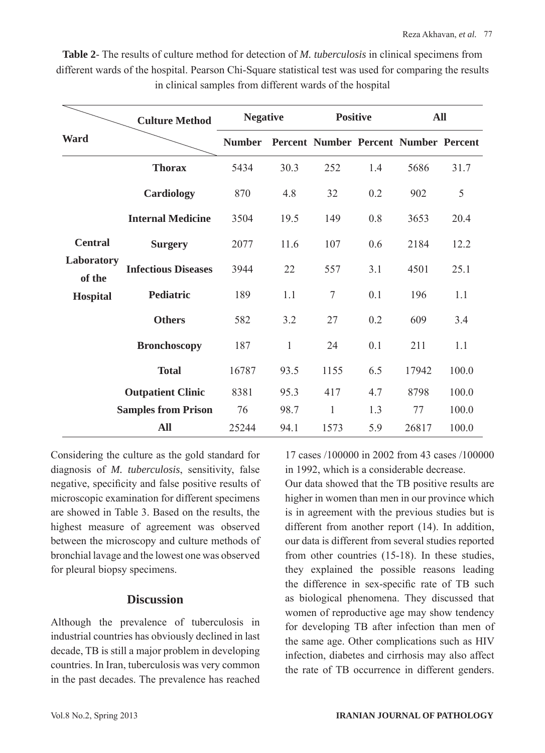|                                                           | <b>Culture Method</b>      |               | <b>Negative</b> |                                       | <b>Positive</b> |       | All   |  |
|-----------------------------------------------------------|----------------------------|---------------|-----------------|---------------------------------------|-----------------|-------|-------|--|
| <b>Ward</b>                                               |                            | <b>Number</b> |                 | Percent Number Percent Number Percent |                 |       |       |  |
|                                                           | <b>Thorax</b>              | 5434          | 30.3            | 252                                   | 1.4             | 5686  | 31.7  |  |
| <b>Central</b><br>Laboratory<br>of the<br><b>Hospital</b> | <b>Cardiology</b>          | 870           | 4.8             | 32                                    | 0.2             | 902   | 5     |  |
|                                                           | <b>Internal Medicine</b>   | 3504          | 19.5            | 149                                   | 0.8             | 3653  | 20.4  |  |
|                                                           | <b>Surgery</b>             | 2077          | 11.6            | 107                                   | 0.6             | 2184  | 12.2  |  |
|                                                           | <b>Infectious Diseases</b> | 3944          | 22              | 557                                   | 3.1             | 4501  | 25.1  |  |
|                                                           | <b>Pediatric</b>           | 189           | 1.1             | $\tau$                                | 0.1             | 196   | 1.1   |  |
|                                                           | <b>Others</b>              | 582           | 3.2             | 27                                    | 0.2             | 609   | 3.4   |  |
|                                                           | <b>Bronchoscopy</b>        | 187           | $\mathbf{1}$    | 24                                    | 0.1             | 211   | 1.1   |  |
|                                                           | <b>Total</b>               | 16787         | 93.5            | 1155                                  | 6.5             | 17942 | 100.0 |  |
|                                                           | <b>Outpatient Clinic</b>   | 8381          | 95.3            | 417                                   | 4.7             | 8798  | 100.0 |  |
|                                                           | <b>Samples from Prison</b> | 76            | 98.7            | $\mathbf{1}$                          | 1.3             | 77    | 100.0 |  |
|                                                           | <b>All</b>                 | 25244         | 94.1            | 1573                                  | 5.9             | 26817 | 100.0 |  |

**Table 2**- The results of culture method for detection of *M. tuberculosis* in clinical specimens from different wards of the hospital. Pearson Chi-Square statistical test was used for comparing the results in clinical samples from different wards of the hospital

Considering the culture as the gold standard for diagnosis of *M. tuberculosis*, sensitivity, false negative, specificity and false positive results of microscopic examination for different specimens are showed in Table 3. Based on the results, the highest measure of agreement was observed between the microscopy and culture methods of bronchial lavage and the lowest one was observed for pleural biopsy specimens.

## **Discussion**

Although the prevalence of tuberculosis in industrial countries has obviously declined in last decade, TB is still a major problem in developing countries. In Iran, tuberculosis was very common in the past decades. The prevalence has reached 17 cases /100000 in 2002 from 43 cases /100000 in 1992, which is a considerable decrease.

Our data showed that the TB positive results are higher in women than men in our province which is in agreement with the previous studies but is different from another report (14). In addition, our data is different from several studies reported from other countries (15-18). In these studies, they explained the possible reasons leading the difference in sex-specific rate of TB such as biological phenomena. They discussed that women of reproductive age may show tendency for developing TB after infection than men of the same age. Other complications such as HIV infection, diabetes and cirrhosis may also affect the rate of TB occurrence in different genders.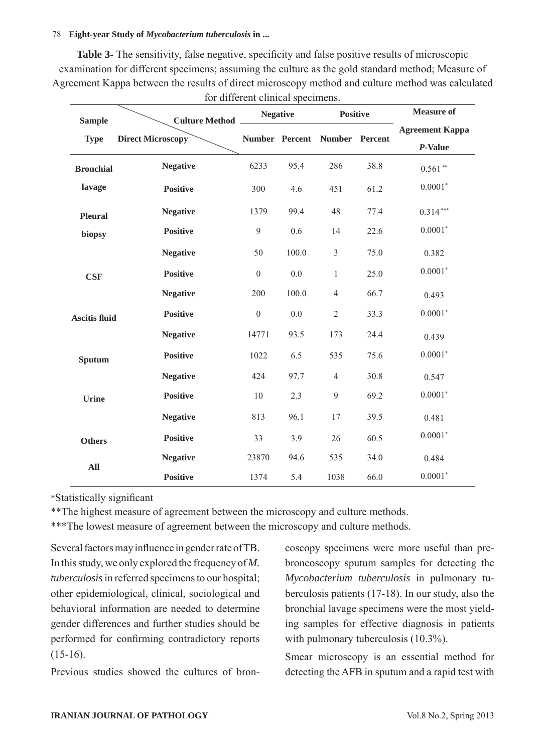#### 78 **Eight-year Study of** *Mycobacterium tuberculosis* **in ...**

**Table 3-** The sensitivity, false negative, specificity and false positive results of microscopic examination for different specimens; assuming the culture as the gold standard method; Measure of Agreement Kappa between the results of direct microscopy method and culture method was calculated for different clinical specimens.

| <b>Sample</b>        | Culture Method __        | <b>Negative</b>  |       | <b>Positive</b>          |      | <b>Measure of</b>                 |  |
|----------------------|--------------------------|------------------|-------|--------------------------|------|-----------------------------------|--|
| <b>Type</b>          | <b>Direct Microscopy</b> | Number Percent   |       | <b>Number</b><br>Percent |      | <b>Agreement Kappa</b><br>P-Value |  |
| <b>Bronchial</b>     | <b>Negative</b>          | 6233             | 95.4  | 286                      | 38.8 | $0.561**$                         |  |
| lavage               | <b>Positive</b>          | 300              | 4.6   | 451                      | 61.2 | $0.0001*$                         |  |
| <b>Pleural</b>       | <b>Negative</b>          | 1379             | 99.4  | 48                       | 77.4 | $0.314***$                        |  |
| biopsy               | <b>Positive</b>          | 9                | 0.6   | 14                       | 22.6 | $0.0001*$                         |  |
|                      | <b>Negative</b>          | 50               | 100.0 | $\mathfrak{Z}$           | 75.0 | 0.382                             |  |
| <b>CSF</b>           | <b>Positive</b>          | $\boldsymbol{0}$ | 0.0   | $\mathbf{1}$             | 25.0 | $0.0001*$                         |  |
|                      | <b>Negative</b>          | 200              | 100.0 | $\overline{4}$           | 66.7 | 0.493                             |  |
| <b>Ascitis fluid</b> | <b>Positive</b>          | $\boldsymbol{0}$ | 0.0   | $\overline{2}$           | 33.3 | $0.0001*$                         |  |
|                      | <b>Negative</b>          | 14771            | 93.5  | 173                      | 24.4 | 0.439                             |  |
| <b>Sputum</b>        | <b>Positive</b>          | 1022             | 6.5   | 535                      | 75.6 | $0.0001*$                         |  |
|                      | <b>Negative</b>          | 424              | 97.7  | $\overline{4}$           | 30.8 | 0.547                             |  |
| <b>Urine</b>         | <b>Positive</b>          | $10\,$           | 2.3   | $\overline{9}$           | 69.2 | $0.0001*$                         |  |
|                      | <b>Negative</b>          | 813              | 96.1  | 17                       | 39.5 | 0.481                             |  |
| <b>Others</b>        | <b>Positive</b>          | 33               | 3.9   | 26                       | 60.5 | $0.0001*$                         |  |
| All                  | <b>Negative</b>          | 23870            | 94.6  | 535                      | 34.0 | 0.484                             |  |
|                      | <b>Positive</b>          | 1374             | 5.4   | 1038                     | 66.0 | $0.0001*$                         |  |

\*Statistically significant

\*\*The highest measure of agreement between the microscopy and culture methods.

\*\*\*The lowest measure of agreement between the microscopy and culture methods.

Several factors may influence in gender rate of TB. In this study, we only explored the frequency of *M. tuberculosis* in referred specimens to our hospital; other epidemiological, clinical, sociological and behavioral information are needed to determine gender differences and further studies should be performed for confirming contradictory reports  $(15-16)$ .

Previous studies showed the cultures of bron-

coscopy specimens were more useful than prebroncoscopy sputum samples for detecting the *Mycobacterium tuberculosis* in pulmonary tuberculosis patients (17-18). In our study, also the bronchial lavage specimens were the most yielding samples for effective diagnosis in patients with pulmonary tuberculosis  $(10.3\%)$ .

Smear microscopy is an essential method for detecting the AFB in sputum and a rapid test with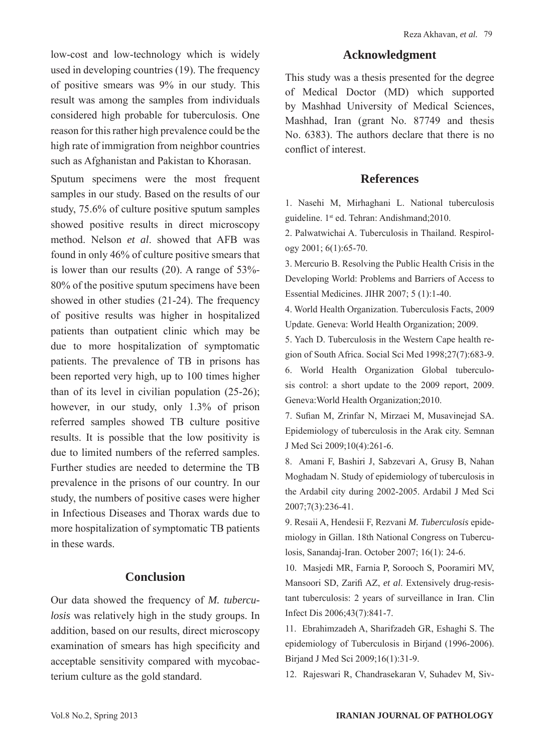low-cost and low-technology which is widely used in developing countries (19). The frequency of positive smears was 9% in our study. This result was among the samples from individuals considered high probable for tuberculosis. One reason for this rather high prevalence could be the high rate of immigration from neighbor countries such as Afghanistan and Pakistan to Khorasan.

Sputum specimens were the most frequent samples in our study. Based on the results of our study, 75.6% of culture positive sputum samples showed positive results in direct microscopy method. Nelson *et al*. showed that AFB was found in only 46% of culture positive smears that is lower than our results (20). A range of 53%- 80% of the positive sputum specimens have been showed in other studies (21-24). The frequency of positive results was higher in hospitalized patients than outpatient clinic which may be due to more hospitalization of symptomatic patients. The prevalence of TB in prisons has been reported very high, up to 100 times higher than of its level in civilian population (25-26); however, in our study, only 1.3% of prison referred samples showed TB culture positive results. It is possible that the low positivity is due to limited numbers of the referred samples. Further studies are needed to determine the TB prevalence in the prisons of our country. In our study, the numbers of positive cases were higher in Infectious Diseases and Thorax wards due to more hospitalization of symptomatic TB patients in these wards.

#### **Conclusion**

Our data showed the frequency of *M. tuberculosis* was relatively high in the study groups. In addition, based on our results, direct microscopy examination of smears has high specificity and acceptable sensitivity compared with mycobacterium culture as the gold standard.

#### **Acknowledgment**

This study was a thesis presented for the degree of Medical Doctor (MD) which supported by Mashhad University of Medical Sciences, Mashhad, Iran (grant No. 87749 and thesis No. 6383). The authors declare that there is no conflict of interest.

#### **References**

1. Nasehi M, Mirhaghani L. National tuberculosis guideline. 1st ed. Tehran: Andishmand;2010.

2. Palwatwichai A. Tuberculosis in Thailand. Respirology 2001; 6(1):65-70.

3. Mercurio B. Resolving the Public Health Crisis in the Developing World: Problems and Barriers of Access to Essential Medicines. JIHR 2007; 5 (1):1-40.

4. World Health Organization. Tuberculosis Facts, 2009 Update. Geneva: World Health Organization; 2009.

5. Yach D. Tuberculosis in the Western Cape health region of South Africa. Social Sci Med 1998;27(7):683-9.

6. World Health Organization Global tuberculosis control: a short update to the 2009 report, 2009. Geneva:World Health Organization;2010.

7. Sufian M, Zrinfar N, Mirzaei M, Musavinejad SA. Epidemiology of tuberculosis in the Arak city. Semnan J Med Sci 2009;10(4):261-6.

8. Amani F, Bashiri J, Sabzevari A, Grusy B, Nahan Moghadam N. Study of epidemiology of tuberculosis in the Ardabil city during 2002-2005. Ardabil J Med Sci 2007;7(3):236-41.

9. Resaii A, Hendesii F, Rezvani *M. Tuberculosis* epidemiology in Gillan. 18th National Congress on Tuberculosis, Sanandaj-Iran. October 2007; 16(1): 24-6.

10. Masjedi MR, Farnia P, Sorooch S, Pooramiri MV, Mansoori SD, Zarifi AZ, *et al*. Extensively drug-resistant tuberculosis: 2 years of surveillance in Iran. Clin Infect Dis 2006;43(7):841-7.

11. Ebrahimzadeh A, Sharifzadeh GR, Eshaghi S. The epidemiology of Tuberculosis in Birjand (1996-2006). Birjand J Med Sci 2009;16(1):31-9.

12. Rajeswari R, Chandrasekaran V, Suhadev M, Siv-